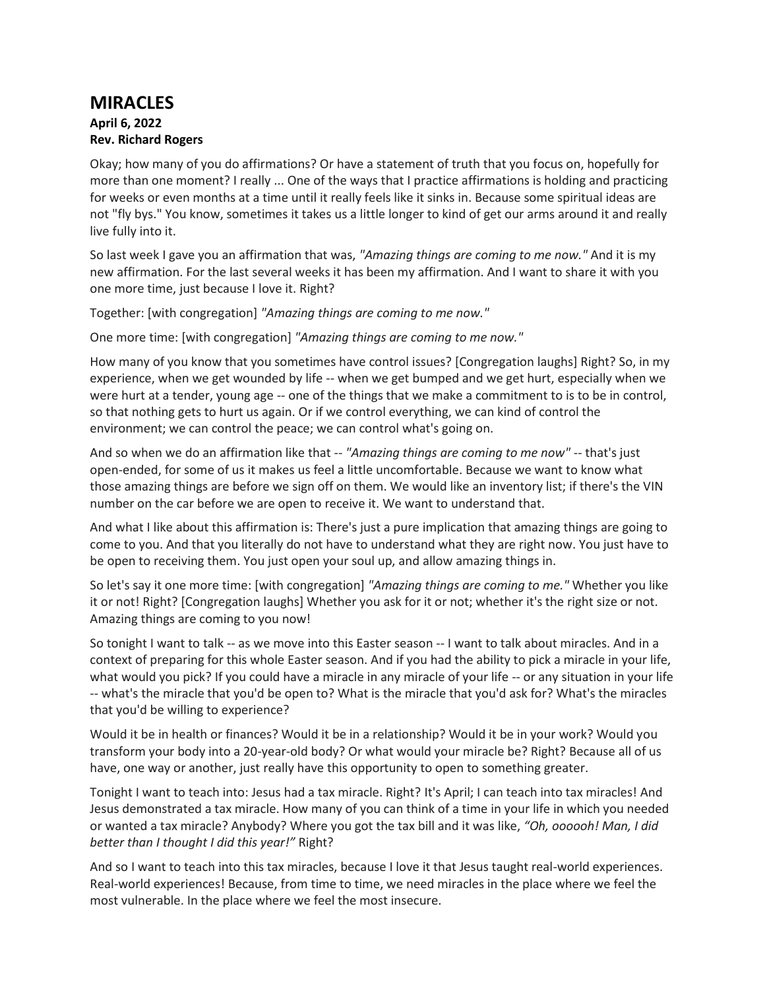## **MIRACLES April 6, 2022**

## **Rev. Richard Rogers**

Okay; how many of you do affirmations? Or have a statement of truth that you focus on, hopefully for more than one moment? I really ... One of the ways that I practice affirmations is holding and practicing for weeks or even months at a time until it really feels like it sinks in. Because some spiritual ideas are not "fly bys." You know, sometimes it takes us a little longer to kind of get our arms around it and really live fully into it.

So last week I gave you an affirmation that was, *"Amazing things are coming to me now."* And it is my new affirmation. For the last several weeks it has been my affirmation. And I want to share it with you one more time, just because I love it. Right?

Together: [with congregation] *"Amazing things are coming to me now."*

One more time: [with congregation] *"Amazing things are coming to me now."*

How many of you know that you sometimes have control issues? [Congregation laughs] Right? So, in my experience, when we get wounded by life -- when we get bumped and we get hurt, especially when we were hurt at a tender, young age -- one of the things that we make a commitment to is to be in control, so that nothing gets to hurt us again. Or if we control everything, we can kind of control the environment; we can control the peace; we can control what's going on.

And so when we do an affirmation like that -- *"Amazing things are coming to me now"* -- that's just open-ended, for some of us it makes us feel a little uncomfortable. Because we want to know what those amazing things are before we sign off on them. We would like an inventory list; if there's the VIN number on the car before we are open to receive it. We want to understand that.

And what I like about this affirmation is: There's just a pure implication that amazing things are going to come to you. And that you literally do not have to understand what they are right now. You just have to be open to receiving them. You just open your soul up, and allow amazing things in.

So let's say it one more time: [with congregation] *"Amazing things are coming to me."* Whether you like it or not! Right? [Congregation laughs] Whether you ask for it or not; whether it's the right size or not. Amazing things are coming to you now!

So tonight I want to talk -- as we move into this Easter season -- I want to talk about miracles. And in a context of preparing for this whole Easter season. And if you had the ability to pick a miracle in your life, what would you pick? If you could have a miracle in any miracle of your life -- or any situation in your life -- what's the miracle that you'd be open to? What is the miracle that you'd ask for? What's the miracles that you'd be willing to experience?

Would it be in health or finances? Would it be in a relationship? Would it be in your work? Would you transform your body into a 20-year-old body? Or what would your miracle be? Right? Because all of us have, one way or another, just really have this opportunity to open to something greater.

Tonight I want to teach into: Jesus had a tax miracle. Right? It's April; I can teach into tax miracles! And Jesus demonstrated a tax miracle. How many of you can think of a time in your life in which you needed or wanted a tax miracle? Anybody? Where you got the tax bill and it was like, *"Oh, oooooh! Man, I did better than I thought I did this year!"* Right?

And so I want to teach into this tax miracles, because I love it that Jesus taught real-world experiences. Real-world experiences! Because, from time to time, we need miracles in the place where we feel the most vulnerable. In the place where we feel the most insecure.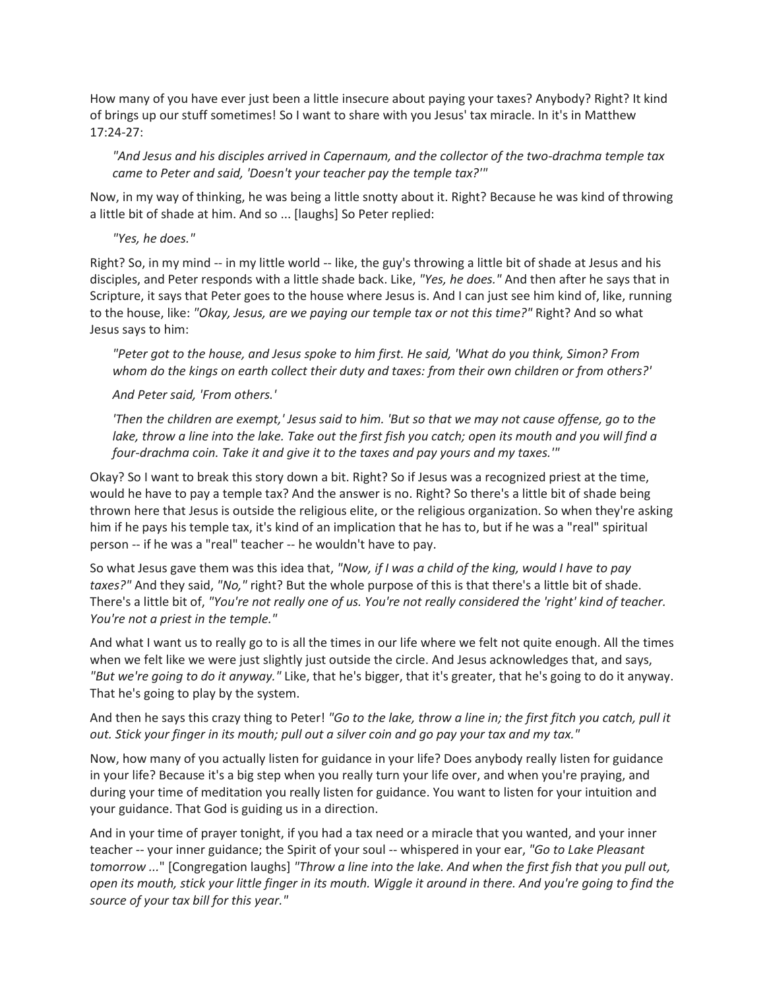How many of you have ever just been a little insecure about paying your taxes? Anybody? Right? It kind of brings up our stuff sometimes! So I want to share with you Jesus' tax miracle. In it's in Matthew 17:24-27:

*"And Jesus and his disciples arrived in Capernaum, and the collector of the two-drachma temple tax came to Peter and said, 'Doesn't your teacher pay the temple tax?'"*

Now, in my way of thinking, he was being a little snotty about it. Right? Because he was kind of throwing a little bit of shade at him. And so ... [laughs] So Peter replied:

*"Yes, he does."*

Right? So, in my mind -- in my little world -- like, the guy's throwing a little bit of shade at Jesus and his disciples, and Peter responds with a little shade back. Like, *"Yes, he does."* And then after he says that in Scripture, it says that Peter goes to the house where Jesus is. And I can just see him kind of, like, running to the house, like: *"Okay, Jesus, are we paying our temple tax or not this time?"* Right? And so what Jesus says to him:

*"Peter got to the house, and Jesus spoke to him first. He said, 'What do you think, Simon? From whom do the kings on earth collect their duty and taxes: from their own children or from others?'*

*And Peter said, 'From others.'*

*'Then the children are exempt,' Jesus said to him. 'But so that we may not cause offense, go to the*  lake, throw a line into the lake. Take out the first fish you catch; open its mouth and you will find a *four-drachma coin. Take it and give it to the taxes and pay yours and my taxes.'"*

Okay? So I want to break this story down a bit. Right? So if Jesus was a recognized priest at the time, would he have to pay a temple tax? And the answer is no. Right? So there's a little bit of shade being thrown here that Jesus is outside the religious elite, or the religious organization. So when they're asking him if he pays his temple tax, it's kind of an implication that he has to, but if he was a "real" spiritual person -- if he was a "real" teacher -- he wouldn't have to pay.

So what Jesus gave them was this idea that, *"Now, if I was a child of the king, would I have to pay taxes?"* And they said, *"No,"* right? But the whole purpose of this is that there's a little bit of shade. There's a little bit of, *"You're not really one of us. You're not really considered the 'right' kind of teacher. You're not a priest in the temple."*

And what I want us to really go to is all the times in our life where we felt not quite enough. All the times when we felt like we were just slightly just outside the circle. And Jesus acknowledges that, and says, *"But we're going to do it anyway."* Like, that he's bigger, that it's greater, that he's going to do it anyway. That he's going to play by the system.

And then he says this crazy thing to Peter! *"Go to the lake, throw a line in; the first fitch you catch, pull it out. Stick your finger in its mouth; pull out a silver coin and go pay your tax and my tax."*

Now, how many of you actually listen for guidance in your life? Does anybody really listen for guidance in your life? Because it's a big step when you really turn your life over, and when you're praying, and during your time of meditation you really listen for guidance. You want to listen for your intuition and your guidance. That God is guiding us in a direction.

And in your time of prayer tonight, if you had a tax need or a miracle that you wanted, and your inner teacher -- your inner guidance; the Spirit of your soul -- whispered in your ear, *"Go to Lake Pleasant tomorrow ...*" [Congregation laughs] *"Throw a line into the lake. And when the first fish that you pull out, open its mouth, stick your little finger in its mouth. Wiggle it around in there. And you're going to find the source of your tax bill for this year."*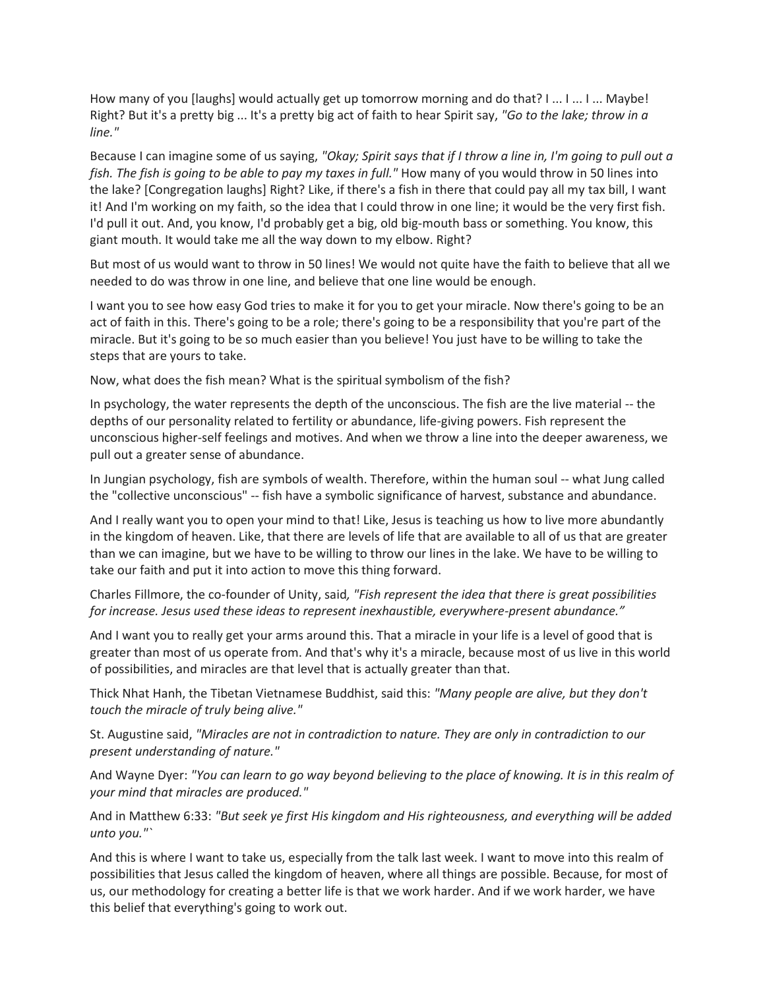How many of you [laughs] would actually get up tomorrow morning and do that? I ... I ... I ... Maybe! Right? But it's a pretty big ... It's a pretty big act of faith to hear Spirit say, *"Go to the lake; throw in a line."*

Because I can imagine some of us saying, *"Okay; Spirit says that if I throw a line in, I'm going to pull out a fish. The fish is going to be able to pay my taxes in full."* How many of you would throw in 50 lines into the lake? [Congregation laughs] Right? Like, if there's a fish in there that could pay all my tax bill, I want it! And I'm working on my faith, so the idea that I could throw in one line; it would be the very first fish. I'd pull it out. And, you know, I'd probably get a big, old big-mouth bass or something. You know, this giant mouth. It would take me all the way down to my elbow. Right?

But most of us would want to throw in 50 lines! We would not quite have the faith to believe that all we needed to do was throw in one line, and believe that one line would be enough.

I want you to see how easy God tries to make it for you to get your miracle. Now there's going to be an act of faith in this. There's going to be a role; there's going to be a responsibility that you're part of the miracle. But it's going to be so much easier than you believe! You just have to be willing to take the steps that are yours to take.

Now, what does the fish mean? What is the spiritual symbolism of the fish?

In psychology, the water represents the depth of the unconscious. The fish are the live material -- the depths of our personality related to fertility or abundance, life-giving powers. Fish represent the unconscious higher-self feelings and motives. And when we throw a line into the deeper awareness, we pull out a greater sense of abundance.

In Jungian psychology, fish are symbols of wealth. Therefore, within the human soul -- what Jung called the "collective unconscious" -- fish have a symbolic significance of harvest, substance and abundance.

And I really want you to open your mind to that! Like, Jesus is teaching us how to live more abundantly in the kingdom of heaven. Like, that there are levels of life that are available to all of us that are greater than we can imagine, but we have to be willing to throw our lines in the lake. We have to be willing to take our faith and put it into action to move this thing forward.

Charles Fillmore, the co-founder of Unity, said*, "Fish represent the idea that there is great possibilities for increase. Jesus used these ideas to represent inexhaustible, everywhere-present abundance."*

And I want you to really get your arms around this. That a miracle in your life is a level of good that is greater than most of us operate from. And that's why it's a miracle, because most of us live in this world of possibilities, and miracles are that level that is actually greater than that.

Thick Nhat Hanh, the Tibetan Vietnamese Buddhist, said this: *"Many people are alive, but they don't touch the miracle of truly being alive."*

St. Augustine said, *"Miracles are not in contradiction to nature. They are only in contradiction to our present understanding of nature."*

And Wayne Dyer: *"You can learn to go way beyond believing to the place of knowing. It is in this realm of your mind that miracles are produced."*

And in Matthew 6:33: *"But seek ye first His kingdom and His righteousness, and everything will be added unto you."`*

And this is where I want to take us, especially from the talk last week. I want to move into this realm of possibilities that Jesus called the kingdom of heaven, where all things are possible. Because, for most of us, our methodology for creating a better life is that we work harder. And if we work harder, we have this belief that everything's going to work out.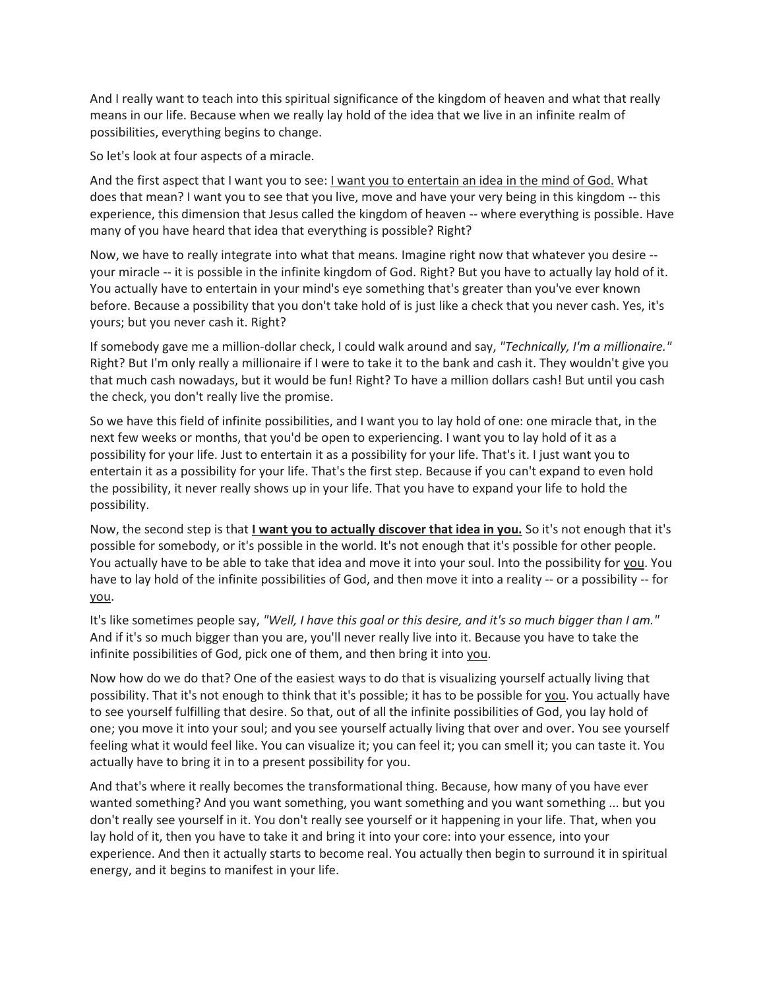And I really want to teach into this spiritual significance of the kingdom of heaven and what that really means in our life. Because when we really lay hold of the idea that we live in an infinite realm of possibilities, everything begins to change.

So let's look at four aspects of a miracle.

And the first aspect that I want you to see: I want you to entertain an idea in the mind of God. What does that mean? I want you to see that you live, move and have your very being in this kingdom -- this experience, this dimension that Jesus called the kingdom of heaven -- where everything is possible. Have many of you have heard that idea that everything is possible? Right?

Now, we have to really integrate into what that means. Imagine right now that whatever you desire - your miracle -- it is possible in the infinite kingdom of God. Right? But you have to actually lay hold of it. You actually have to entertain in your mind's eye something that's greater than you've ever known before. Because a possibility that you don't take hold of is just like a check that you never cash. Yes, it's yours; but you never cash it. Right?

If somebody gave me a million-dollar check, I could walk around and say, *"Technically, I'm a millionaire."* Right? But I'm only really a millionaire if I were to take it to the bank and cash it. They wouldn't give you that much cash nowadays, but it would be fun! Right? To have a million dollars cash! But until you cash the check, you don't really live the promise.

So we have this field of infinite possibilities, and I want you to lay hold of one: one miracle that, in the next few weeks or months, that you'd be open to experiencing. I want you to lay hold of it as a possibility for your life. Just to entertain it as a possibility for your life. That's it. I just want you to entertain it as a possibility for your life. That's the first step. Because if you can't expand to even hold the possibility, it never really shows up in your life. That you have to expand your life to hold the possibility.

Now, the second step is that **I want you to actually discover that idea in you.** So it's not enough that it's possible for somebody, or it's possible in the world. It's not enough that it's possible for other people. You actually have to be able to take that idea and move it into your soul. Into the possibility for you. You have to lay hold of the infinite possibilities of God, and then move it into a reality -- or a possibility -- for you.

It's like sometimes people say, *"Well, I have this goal or this desire, and it's so much bigger than I am."* And if it's so much bigger than you are, you'll never really live into it. Because you have to take the infinite possibilities of God, pick one of them, and then bring it into you.

Now how do we do that? One of the easiest ways to do that is visualizing yourself actually living that possibility. That it's not enough to think that it's possible; it has to be possible for you. You actually have to see yourself fulfilling that desire. So that, out of all the infinite possibilities of God, you lay hold of one; you move it into your soul; and you see yourself actually living that over and over. You see yourself feeling what it would feel like. You can visualize it; you can feel it; you can smell it; you can taste it. You actually have to bring it in to a present possibility for you.

And that's where it really becomes the transformational thing. Because, how many of you have ever wanted something? And you want something, you want something and you want something ... but you don't really see yourself in it. You don't really see yourself or it happening in your life. That, when you lay hold of it, then you have to take it and bring it into your core: into your essence, into your experience. And then it actually starts to become real. You actually then begin to surround it in spiritual energy, and it begins to manifest in your life.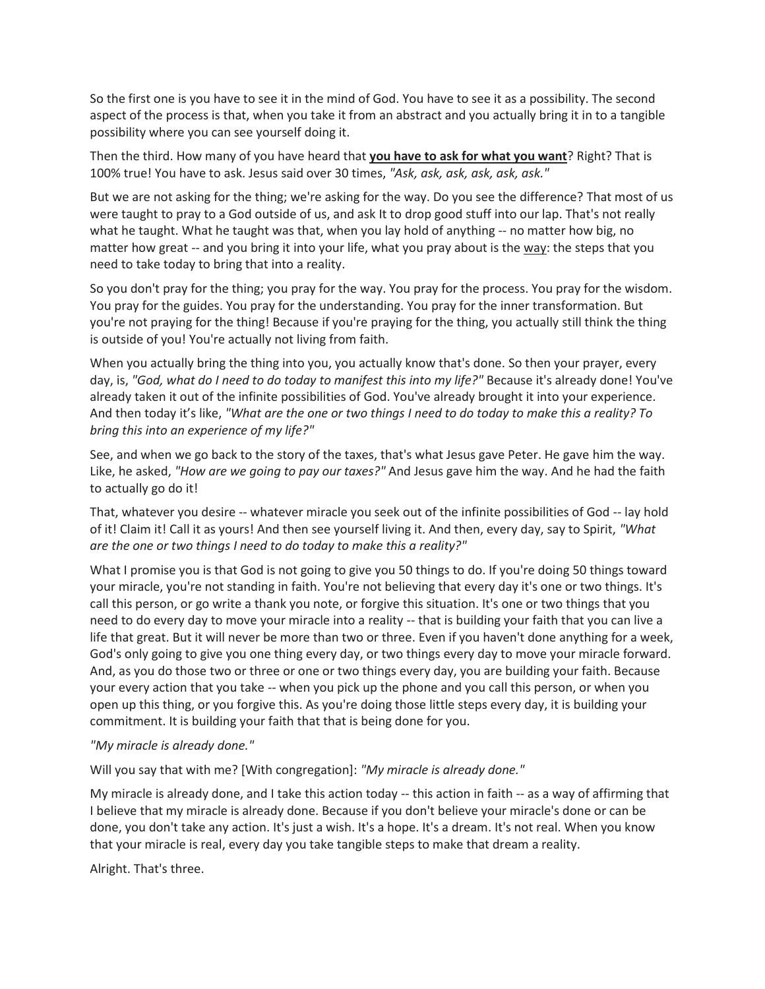So the first one is you have to see it in the mind of God. You have to see it as a possibility. The second aspect of the process is that, when you take it from an abstract and you actually bring it in to a tangible possibility where you can see yourself doing it.

Then the third. How many of you have heard that **you have to ask for what you want**? Right? That is 100% true! You have to ask. Jesus said over 30 times, *"Ask, ask, ask, ask, ask, ask."*

But we are not asking for the thing; we're asking for the way. Do you see the difference? That most of us were taught to pray to a God outside of us, and ask It to drop good stuff into our lap. That's not really what he taught. What he taught was that, when you lay hold of anything -- no matter how big, no matter how great -- and you bring it into your life, what you pray about is the way: the steps that you need to take today to bring that into a reality.

So you don't pray for the thing; you pray for the way. You pray for the process. You pray for the wisdom. You pray for the guides. You pray for the understanding. You pray for the inner transformation. But you're not praying for the thing! Because if you're praying for the thing, you actually still think the thing is outside of you! You're actually not living from faith.

When you actually bring the thing into you, you actually know that's done. So then your prayer, every day, is, *"God, what do I need to do today to manifest this into my life?"* Because it's already done! You've already taken it out of the infinite possibilities of God. You've already brought it into your experience. And then today it's like, *"What are the one or two things I need to do today to make this a reality? To bring this into an experience of my life?"*

See, and when we go back to the story of the taxes, that's what Jesus gave Peter. He gave him the way. Like, he asked, *"How are we going to pay our taxes?"* And Jesus gave him the way. And he had the faith to actually go do it!

That, whatever you desire -- whatever miracle you seek out of the infinite possibilities of God -- lay hold of it! Claim it! Call it as yours! And then see yourself living it. And then, every day, say to Spirit, *"What are the one or two things I need to do today to make this a reality?"*

What I promise you is that God is not going to give you 50 things to do. If you're doing 50 things toward your miracle, you're not standing in faith. You're not believing that every day it's one or two things. It's call this person, or go write a thank you note, or forgive this situation. It's one or two things that you need to do every day to move your miracle into a reality -- that is building your faith that you can live a life that great. But it will never be more than two or three. Even if you haven't done anything for a week, God's only going to give you one thing every day, or two things every day to move your miracle forward. And, as you do those two or three or one or two things every day, you are building your faith. Because your every action that you take -- when you pick up the phone and you call this person, or when you open up this thing, or you forgive this. As you're doing those little steps every day, it is building your commitment. It is building your faith that that is being done for you.

## *"My miracle is already done."*

Will you say that with me? [With congregation]: *"My miracle is already done."*

My miracle is already done, and I take this action today -- this action in faith -- as a way of affirming that I believe that my miracle is already done. Because if you don't believe your miracle's done or can be done, you don't take any action. It's just a wish. It's a hope. It's a dream. It's not real. When you know that your miracle is real, every day you take tangible steps to make that dream a reality.

Alright. That's three.